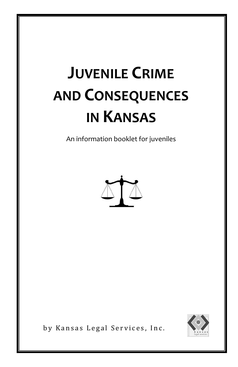# **JUVENILE CRIME AND CONSEQUENCES IN KANSAS**

An information booklet for juveniles





by Kansas Legal Services, Inc.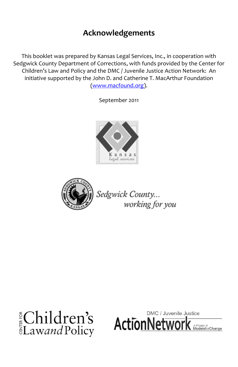#### **Acknowledgements**

This booklet was prepared by Kansas Legal Services, Inc., in cooperation with Sedgwick County Department of Corrections, with funds provided by the Center for Children's Law and Policy and the DMC / Juvenile Justice Action Network: An initiative supported by the John D. and Catherine T. MacArthur Foundation [\(www.macfound.org\)](http://www.macfound.org/).

September 2011





Sedgwick County... working for you



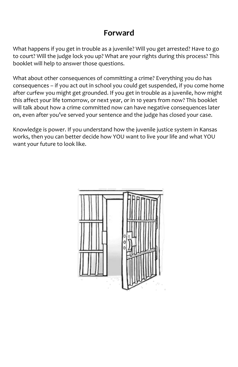#### **Forward**

What happens if you get in trouble as a juvenile? Will you get arrested? Have to go to court? Will the judge lock you up? What are your rights during this process? This booklet will help to answer those questions.

What about other consequences of committing a crime? Everything you do has consequences – if you act out in school you could get suspended, if you come home after curfew you might get grounded. If you get in trouble as a juvenile, how might this affect your life tomorrow, or next year, or in 10 years from now? This booklet will talk about how a crime committed now can have negative consequences later on, even after you've served your sentence and the judge has closed your case.

Knowledge is power. If you understand how the juvenile justice system in Kansas works, then you can better decide how YOU want to live your life and what YOU want your future to look like.

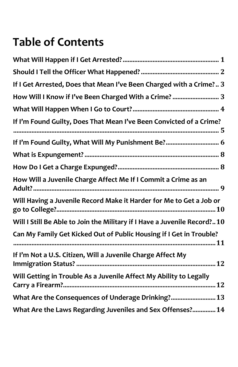## **Table of Contents**

| If I Get Arrested, Does that Mean I've Been Charged with a Crime? 3      |
|--------------------------------------------------------------------------|
| How Will I Know if I've Been Charged With a Crime?  3                    |
|                                                                          |
| If I'm Found Guilty, Does That Mean I've Been Convicted of a Crime?      |
| If I'm Found Guilty, What Will My Punishment Be? 6                       |
|                                                                          |
|                                                                          |
| How Will a Juvenile Charge Affect Me If I Commit a Crime as an           |
| Will Having a Juvenile Record Make it Harder for Me to Get a Job or      |
| Will I Still Be Able to Join the Military if I Have a Juvenile Record?10 |
| Can My Family Get Kicked Out of Public Housing if I Get in Trouble?      |
| If I'm Not a U.S. Citizen, Will a Juvenile Charge Affect My              |
| Will Getting in Trouble As a Juvenile Affect My Ability to Legally       |
| What Are the Consequences of Underage Drinking? 13                       |
| What Are the Laws Regarding Juveniles and Sex Offenses? 14               |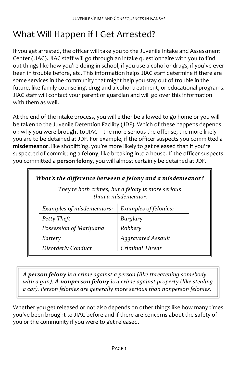#### <span id="page-4-0"></span>What Will Happen if I Get Arrested?

If you get arrested, the officer will take you to the Juvenile Intake and Assessment Center (JIAC). JIAC staff will go through an intake questionnaire with you to find out things like how you're doing in school, if you use alcohol or drugs, if you've ever been in trouble before, etc. This information helps JIAC staff determine if there are some services in the community that might help you stay out of trouble in the future, like family counseling, drug and alcohol treatment, or educational programs. JIAC staff will contact your parent or guardian and will go over this information with them as well.

At the end of the intake process, you will either be allowed to go home or you will be taken to the Juvenile Detention Facility (JDF). Which of these happens depends on why you were brought to JIAC – the more serious the offense, the more likely you are to be detained at JDF. For example, if the officer suspects you committed a **misdemeanor**, like shoplifting, you're more likely to get released than if you're suspected of committing a **felony**, like breaking into a house. If the officer suspects you committed a **person felony**, you will almost certainly be detained at JDF.

| What's the difference between a felony and a misdemeanor?                |                       |  |
|--------------------------------------------------------------------------|-----------------------|--|
| They're both crimes, but a felony is more serious<br>than a misdemeanor. |                       |  |
| <b>Examples of misdemeanors:</b>                                         | Examples of felonies: |  |
| Petty Theft                                                              |                       |  |
| Possession of Marijuana                                                  | Burglary<br>Robbery   |  |
| Battery                                                                  | Aggravated Assault    |  |
| Disorderly Conduct                                                       | Criminal Threat       |  |

*A person felony is a crime against a person (like threatening somebody with a gun). A nonperson felony is a crime against property (like stealing a car). Person felonies are generally more serious than nonperson felonies.*

Whether you get released or not also depends on other things like how many times you've been brought to JIAC before and if there are concerns about the safety of you or the community if you were to get released.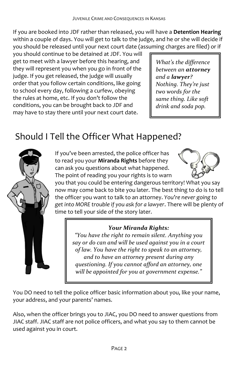If you are booked into JDF rather than released, you will have a **Detention Hearing** within a couple of days. You will get to talk to the judge, and he or she will decide if you should be released until your next court date (assuming charges are filed) or if

you should continue to be detained at JDF. You will get to meet with a lawyer before this hearing, and they will represent you when you go in front of the judge. If you get released, the judge will usually order that you follow certain conditions, like going to school every day, following a curfew, obeying the rules at home, etc. If you don't follow the conditions, you can be brought back to JDF and may have to stay there until your next court date.

*What's the difference between an attorney and a lawyer? Nothing. They're just two words for the same thing. Like soft drink and soda pop.* 

## <span id="page-5-0"></span>Should I Tell the Officer What Happened?



If you've been arrested, the police officer has to read you your **Miranda Rights** before they can ask you questions about what happened. The point of reading you your rights is to warn



you that you could be entering dangerous territory! What you say now may come back to bite you later. The best thing to do is to tell the officer you want to talk to an attorney. *You're never going to get into MORE trouble if you ask for a lawyer*. There will be plenty of time to tell your side of the story later.

#### *Your Miranda Rights:*

*"You have the right to remain silent. Anything you say or do can and will be used against you in a court of law. You have the right to speak to an attorney, and to have an attorney present during any questioning. If you cannot afford an attorney, one will be appointed for you at government expense."*

You DO need to tell the police officer basic information about you, like your name, your address, and your parents' names.

Also, when the officer brings you to JIAC, you DO need to answer questions from JIAC staff. JIAC staff are not police officers, and what you say to them cannot be used against you in court.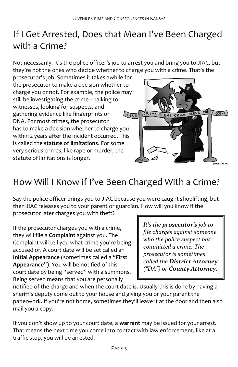#### <span id="page-6-0"></span>If I Get Arrested, Does that Mean I've Been Charged with a Crime?

Not necessarily. It's the police officer's job to arrest you and bring you to JIAC, but they're not the ones who decide whether to charge you with a crime. That's the

prosecutor's job. Sometimes it takes awhile for the prosecutor to make a decision whether to charge you or not. For example, the police may still be investigating the crime – talking to witnesses, looking for suspects, and gathering evidence like fingerprints or SCENE DNA. For most crimes, the prosecutor has to make a decision whether to charge you within 2 years after the incident occurred. This is called the **statute of limitations**. For some very serious crimes, like rape or murder, the statute of limitations is longer.



#### <span id="page-6-1"></span>How Will I Know if I've Been Charged With a Crime?

Say the police officer brings you to JIAC because you were caught shoplifting, but then JIAC releases you to your parent or guardian. How will you know if the prosecutor later charges you with theft?

If the prosecutor charges you with a crime, they will file a **Complaint** against you. The Complaint will tell you what crime you're being accused of. A court date will be set called an **Initial Appearance** (sometimes called a "**First Appearance**"). You will be notified of this court date by being "served" with a summons. Being served means that you are personally

*It's the prosecutor's job to file charges against someone who the police suspect has committed a crime. The prosecutor is sometimes called the District Attorney ("DA") or County Attorney.*

notified of the charge and when the court date is. Usually this is done by having a sheriff's deputy come out to your house and giving you or your parent the paperwork. If you're not home, sometimes they'll leave it at the door and then also mail you a copy.

If you don't show up to your court date, a **warrant** may be issued for your arrest. That means the next time you come into contact with law enforcement, like at a traffic stop, you will be arrested.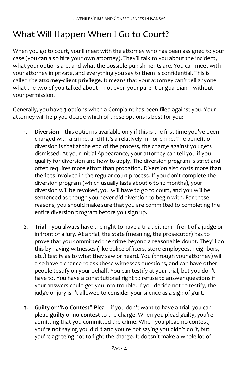#### <span id="page-7-0"></span>What Will Happen When I Go to Court?

When you go to court, you'll meet with the attorney who has been assigned to your case (you can also hire your own attorney). They'll talk to you about the incident, what your options are, and what the possible punishments are. You can meet with your attorney in private, and everything you say to them is confidential. This is called the **attorney-client privilege**. It means that your attorney can't tell anyone what the two of you talked about – not even your parent or guardian – without your permission.

Generally, you have 3 options when a Complaint has been filed against you. Your attorney will help you decide which of these options is best for you:

- 1. **Diversion** this option is available only if this is the first time you've been charged with a crime, and if it's a relatively minor crime. The benefit of diversion is that at the end of the process, the charge against you gets dismissed. At your Initial Appearance, your attorney can tell you if you qualify for diversion and how to apply. The diversion program is strict and often requires more effort than probation. Diversion also costs more than the fees involved in the regular court process. If you don't complete the diversion program (which usually lasts about 6 to 12 months), your diversion will be revoked, you will have to go to court, and you will be sentenced as though you never did diversion to begin with. For these reasons, you should make sure that you are committed to completing the entire diversion program before you sign up.
- 2. **Trial** you always have the right to have a trial, either in front of a judge or in front of a jury. At a trial, the state (meaning, the prosecutor) has to prove that you committed the crime beyond a reasonable doubt. They'll do this by having witnesses (like police officers, store employees, neighbors, etc.) testify as to what they saw or heard. You (through your attorney) will also have a chance to ask these witnesses questions, and can have other people testify on your behalf. You can testify at your trial, but you don't have to. You have a constitutional right to refuse to answer questions if your answers could get you into trouble. If you decide not to testify, the judge or jury isn't allowed to consider your silence as a sign of guilt.
- 3. **Guilty or "No Contest" Plea** if you don't want to have a trial, you can plead **guilty** or **no contest** to the charge. When you plead guilty, you're admitting that you committed the crime. When you plead no contest, you're not saying you did it and you're not saying you didn't do it, but you're agreeing not to fight the charge. It doesn't make a whole lot of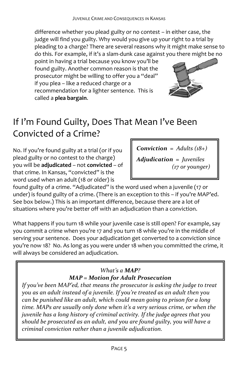difference whether you plead guilty or no contest – in either case, the judge will find you guilty. Why would you give up your right to a trial by pleading to a charge? There are several reasons why it might make sense to do this. For example, if it's a slam-dunk case against you there might be no

point in having a trial because you know you'll be found guilty. Another common reason is that the prosecutor might be willing to offer you a "deal" if you plea – like a reduced charge or a recommendation for a lighter sentence. This is called a **plea bargain**.



## <span id="page-8-0"></span>If I'm Found Guilty, Does That Mean I've Been Convicted of a Crime?

No. If you're found guilty at a trial (or if you plead guilty or no contest to the charge) you will be **adjudicated** – not **convicted** – of that crime. In Kansas, "convicted" is the word used when an adult (18 or older) is

*Conviction = Adults (18+)*

*Adjudication = Juveniles (17 or younger)*

found guilty of a crime. "Adjudicated" is the word used when a juvenile (17 or under) is found guilty of a crime. (There is an exception to this – if you're MAP'ed. See box below.) This is an important difference, because there are a lot of situations where you're better off with an adjudication than a conviction.

What happens if you turn 18 while your juvenile case is still open? For example, say you commit a crime when you're 17 and you turn 18 while you're in the middle of serving your sentence. Does your adjudication get converted to a conviction since you're now 18? No. As long as you were under 18 when you committed the crime, it will always be considered an adjudication.

#### *What's a MAP? MAP = Motion for Adult Prosecution*

*If you've been MAP'ed, that means the prosecutor is asking the judge to treat you as an adult instead of a juvenile. If you're treated as an adult then you can be punished like an adult, which could mean going to prison for a long time. MAPs are usually only done when it's a very serious crime, or when the juvenile has a long history of criminal activity. If the judge agrees that you should be prosecuted as an adult, and you are found guilty, you will have a criminal conviction rather than a juvenile adjudication.*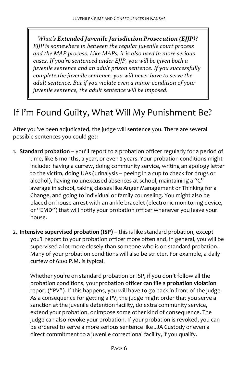*What's Extended Juvenile Jurisdiction Prosecution (EJJP)? EJJP is somewhere in between the regular juvenile court process and the MAP process. Like MAPs, it is also used in more serious cases. If you're sentenced under EJJP, you will be given both a juvenile sentence and an adult prison sentence. If you successfully complete the juvenile sentence, you will never have to serve the adult sentence. But if you violate even a minor condition of your juvenile sentence, the adult sentence will be imposed.* 

#### <span id="page-9-0"></span>If I'm Found Guilty, What Will My Punishment Be?

After you've been adjudicated, the judge will **sentence** you. There are several possible sentences you could get:

- 1. **Standard probation** you'll report to a probation officer regularly for a period of time, like 6 months, a year, or even 2 years. Your probation conditions might include: having a curfew, doing community service, writing an apology letter to the victim, doing UAs (urinalysis – peeing in a cup to check for drugs or alcohol), having no unexcused absences at school, maintaining a "C" average in school, taking classes like Anger Management or Thinking for a Change, and going to individual or family counseling. You might also be placed on house arrest with an ankle bracelet (electronic monitoring device, or "EMD") that will notify your probation officer whenever you leave your house.
- 2. **Intensive supervised probation (ISP)** this is like standard probation, except you'll report to your probation officer more often and, in general, you will be supervised a lot more closely than someone who is on standard probation. Many of your probation conditions will also be stricter. For example, a daily curfew of 6:00 P.M. is typical.

Whether you're on standard probation or ISP, if you don't follow all the probation conditions, your probation officer can file a **probation violation** report ("PV"). If this happens, you will have to go back in front of the judge. As a consequence for getting a PV, the judge might order that you serve a sanction at the juvenile detention facility, do extra community service, extend your probation, or impose some other kind of consequence. The judge can also **revoke** your probation. If your probation is revoked, you can be ordered to serve a more serious sentence like JJA Custody or even a direct commitment to a juvenile correctional facility, if you qualify.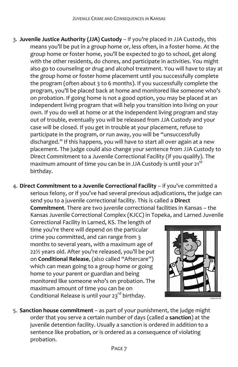- 3. **Juvenile Justice Authority (JJA) Custody** if you're placed in JJA Custody, this means you'll be put in a group home or, less often, in a foster home. At the group home or foster home, you'll be expected to go to school, get along with the other residents, do chores, and participate in activities. You might also go to counseling or drug and alcohol treatment. You will have to stay at the group home or foster home placement until you successfully complete the program (often about 3 to 6 months). If you successfully complete the program, you'll be placed back at home and monitored like someone who's on probation. If going home is not a good option, you may be placed at an independent living program that will help you transition into living on your own. If you do well at home or at the independent living program and stay out of trouble, eventually you will be released from JJA Custody and your case will be closed. If you get in trouble at your placement, refuse to participate in the program, or run away, you will be "unsuccessfully discharged." If this happens, you will have to start all over again at a new placement. The judge could also change your sentence from JJA Custody to Direct Commitment to a Juvenile Correctional Facility (if you qualify). The maximum amount of time you can be in JJA Custody is until your 21<sup>st</sup> birthday.
- 4. **Direct Commitment to a Juvenile Correctional Facility** if you've committed a serious felony, or if you've had several previous adjudications, the judge can send you to a juvenile correctional facility. This is called a **Direct Commitment**. There are two juvenile correctional facilities in Kansas – the Kansas Juvenile Correctional Complex (KJCC) in Topeka, and Larned Juvenile

Correctional Facility in Larned, KS. The length of time you're there will depend on the particular crime you committed, and can range from 3 months to several years, with a maximum age of 22½ years old. After you're released, you'll be put on **Conditional Release**, (also called "Aftercare") which can mean going to a group home or going home to your parent or guardian and being monitored like someone who's on probation. The maximum amount of time you can be on Conditional Release is until your 23<sup>rd</sup> birthday.



5. **Sanction house commitment** – as part of your punishment, the judge might order that you serve a certain number of days (called a **sanction**) at the juvenile detention facility. Usually a sanction is ordered in addition to a sentence like probation, or is ordered as a consequence of violating probation.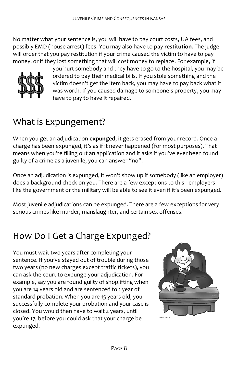No matter what your sentence is, you will have to pay court costs, UA fees, and possibly EMD (house arrest) fees. You may also have to pay **restitution**. The judge will order that you pay restitution if your crime caused the victim to have to pay money, or if they lost something that will cost money to replace. For example, if



you hurt somebody and they have to go to the hospital, you may be ordered to pay their medical bills. If you stole something and the victim doesn't get the item back, you may have to pay back what it was worth. If you caused damage to someone's property, you may have to pay to have it repaired.

#### <span id="page-11-0"></span>What is Expungement?

When you get an adjudication **expunged**, it gets erased from your record. Once a charge has been expunged, it's as if it never happened (for most purposes). That means when you're filling out an application and it asks if you've ever been found guilty of a crime as a juvenile, you can answer "no".

Once an adjudication is expunged, it won't show up if somebody (like an employer) does a background check on you. There are a few exceptions to this - employers like the government or the military will be able to see it even if it's been expunged.

<span id="page-11-1"></span>Most juvenile adjudications can be expunged. There are a few exceptions for very serious crimes like murder, manslaughter, and certain sex offenses.

## How Do I Get a Charge Expunged?

You must wait two years after completing your sentence. If you've stayed out of trouble during those two years (no new charges except traffic tickets), you can ask the court to expunge your adjudication. For example, say you are found guilty of shoplifting when you are 14 years old and are sentenced to 1 year of standard probation. When you are 15 years old, you successfully complete your probation and your case is closed. You would then have to wait 2 years, until you're 17, before you could ask that your charge be expunged.

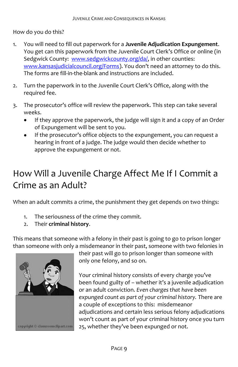How do you do this?

- 1. You will need to fill out paperwork for a **Juvenile Adjudication Expungement**. You get can this paperwork from the Juvenile Court Clerk's Office or online (in Sedgwick County: [www.sedgwickcounty.org/da/,](http://www.sedgwickcounty.org/da/) in other counties: [www.kansasjudicialcouncil.org/Forms\)](http://www.kansasjudicialcouncil.org/Forms). You don't need an attorney to do this. The forms are fill-in-the-blank and instructions are included.
- 2. Turn the paperwork in to the Juvenile Court Clerk's Office, along with the required fee.
- 3. The prosecutor's office will review the paperwork. This step can take several weeks.
	- If they approve the paperwork, the judge will sign it and a copy of an Order  $\bullet$ of Expungement will be sent to you.
	- If the prosecutor's office objects to the expungement, you can request a hearing in front of a judge. The judge would then decide whether to approve the expungement or not.

## <span id="page-12-0"></span>How Will a Juvenile Charge Affect Me If I Commit a Crime as an Adult?

When an adult commits a crime, the punishment they get depends on two things:

- 1. The seriousness of the crime they commit.
- 2. Their **criminal history**.

This means that someone with a felony in their past is going to go to prison longer than someone with only a misdemeanor in their past, someone with two felonies in



their past will go to prison longer than someone with only one felony, and so on.

Your criminal history consists of every charge you've been found guilty of – whether it's a juvenile adjudication or an adult conviction. *Even charges that have been expunged count as part of your criminal history.* There are a couple of exceptions to this: misdemeanor adjudications and certain less serious felony adjudications won't count as part of your criminal history once you turn 25, whether they've been expunged or not.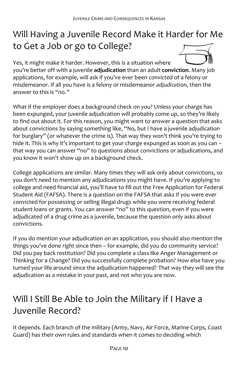## <span id="page-13-0"></span>Will Having a Juvenile Record Make it Harder for Me to Get a Job or go to College?

Yes, it might make it harder. However, this is a situation where you're better off with a juvenile **adjudication** than an adult **conviction**. Many job applications, for example, will ask if you've ever been *convicted* of a felony or misdemeanor. If all you have is a felony or misdemeanor *adjudication*, then the answer to this is "no."

What if the employer does a background check on you? Unless your charge has been expunged, your juvenile adjudication will probably come up, so they're likely to find out about it. For this reason, you might want to answer a question that asks about convictions by saying something like, "No, but I have a juvenile adjudication for burglary" (or whatever the crime is). That way they won't think you're trying to hide it. This is why it's important to get your charge expunged as soon as you can that way you can answer "no" to questions about convictions or adjudications, and you know it won't show up on a background check.

College applications are similar. Many times they will ask only about convictions, so you don't need to mention any adjudications you might have. If you're applying to college and need financial aid, you'll have to fill out the Free Application for Federal Student Aid (FAFSA). There is a question on the FAFSA that asks if you were ever convicted for possessing or selling illegal drugs while you were receiving federal student loans or grants. You can answer "no" to this question, even if you were adjudicated of a drug crime as a juvenile, because the question only asks about convictions.

If you do mention your adjudication on an application, you should also mention the things you've done *right* since then – for example, did you do community service? Did you pay back restitution? Did you complete a class like Anger Management or Thinking for a Change? Did you successfully complete probation? How else have you turned your life around since the adjudication happened? That way they will see the adjudication as a mistake in your past, and not who you are now.

#### <span id="page-13-1"></span>Will I Still Be Able to Join the Military if I Have a Juvenile Record?

It depends. Each branch of the military (Army, Navy, Air Force, Marine Corps, Coast Guard) has their own rules and standards when it comes to deciding which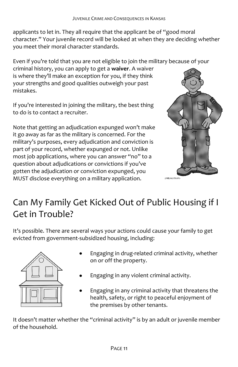applicants to let in. They all require that the applicant be of "good moral character." Your juvenile record will be looked at when they are deciding whether you meet their moral character standards.

Even if you're told that you are not eligible to join the military because of your

criminal history, you can apply to get a **waiver**. A waiver is where they'll make an exception for you, if they think your strengths and good qualities outweigh your past mistakes.

If you're interested in joining the military, the best thing to do is to contact a recruiter.

Note that getting an adjudication expunged won't make it go away as far as the military is concerned. For the military's purposes, every adjudication and conviction is part of your record, whether expunged or not. Unlike most job applications, where you can answer "no" to a question about adjudications or convictions if you've gotten the adjudication or conviction expunged, you MUST disclose everything on a military application.



#### <span id="page-14-0"></span>Can My Family Get Kicked Out of Public Housing if I Get in Trouble?

It's possible. There are several ways your actions could cause your family to get evicted from government-subsidized housing, including:



- Engaging in drug-related criminal activity, whether on or off the property.
- Engaging in any violent criminal activity.
- Engaging in any criminal activity that threatens the health, safety, or right to peaceful enjoyment of the premises by other tenants.

It doesn't matter whether the "criminal activity" is by an adult or juvenile member of the household.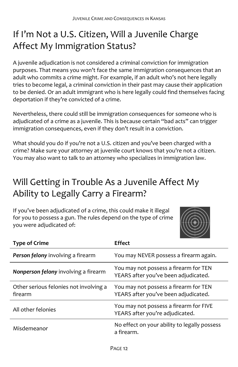#### <span id="page-15-0"></span>If I'm Not a U.S. Citizen, Will a Juvenile Charge Affect My Immigration Status?

A juvenile adjudication is not considered a criminal conviction for immigration purposes. That means you won't face the same immigration consequences that an adult who commits a crime might. For example, if an adult who's not here legally tries to become legal, a criminal conviction in their past may cause their application to be denied. Or an adult immigrant who is here legally could find themselves facing deportation if they're convicted of a crime.

Nevertheless, there could still be immigration consequences for someone who is adjudicated of a crime as a juvenile. This is because certain "bad acts" can trigger immigration consequences, even if they don't result in a conviction.

What should you do if you're not a U.S. citizen and you've been charged with a crime? Make sure your attorney at juvenile court knows that you're not a citizen. You may also want to talk to an attorney who specializes in immigration law.

#### <span id="page-15-1"></span>Will Getting in Trouble As a Juvenile Affect My Ability to Legally Carry a Firearm?

If you've been adjudicated of a crime, this could make it illegal for you to possess a gun. The rules depend on the type of crime you were adjudicated of:



| <b>Type of Crime</b>                              | <b>Effect</b>                                                                 |
|---------------------------------------------------|-------------------------------------------------------------------------------|
| Person felony involving a firearm                 | You may NEVER possess a firearm again.                                        |
| Nonperson felony involving a firearm              | You may not possess a firearm for TEN<br>YEARS after you've been adjudicated. |
| Other serious felonies not involving a<br>firearm | You may not possess a firearm for TEN<br>YEARS after you've been adjudicated. |
| All other felonies                                | You may not possess a firearm for FIVE<br>YEARS after you're adjudicated.     |
| Misdemeanor                                       | No effect on your ability to legally possess<br>a firearm.                    |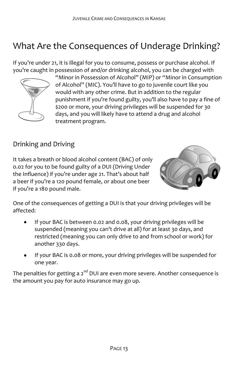## <span id="page-16-0"></span>What Are the Consequences of Underage Drinking?

If you're under 21, it is illegal for you to consume, possess or purchase alcohol. If you're caught in possession of and/or drinking alcohol, you can be charged with



"Minor in Possession of Alcohol" (MIP) or "Minor in Consumption of Alcohol" (MIC). You'll have to go to juvenile court like you would with any other crime. But in addition to the regular punishment if you're found guilty, you'll also have to pay a fine of \$200 or more, your driving privileges will be suspended for 30 days, and you will likely have to attend a drug and alcohol treatment program.

#### Drinking and Driving

It takes a breath or blood alcohol content (BAC) of only 0.02 for you to be found guilty of a DUI (Driving Under the Influence) if you're under age 21. That's about half a beer if you're a 120 pound female, or about one beer if you're a 180 pound male.



One of the consequences of getting a DUI is that your driving privileges will be affected:

- If your BAC is between 0.02 and 0.08, your driving privileges will be suspended (meaning you can't drive at all) for at least 30 days, and restricted (meaning you can only drive to and from school or work) for another 330 days.
- If your BAC is 0.08 or more, your driving privileges will be suspended for one year.

The penalties for getting a  $2^{nd}$  DUI are even more severe. Another consequence is the amount you pay for auto insurance may go up.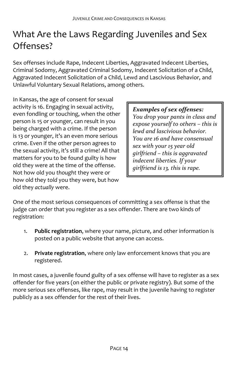#### <span id="page-17-0"></span>What Are the Laws Regarding Juveniles and Sex Offenses?

Sex offenses include Rape, Indecent Liberties, Aggravated Indecent Liberties, Criminal Sodomy, Aggravated Criminal Sodomy, Indecent Solicitation of a Child, Aggravated Indecent Solicitation of a Child, Lewd and Lascivious Behavior, and Unlawful Voluntary Sexual Relations, among others.

In Kansas, the age of consent for sexual activity is 16. Engaging in sexual activity, even fondling or touching, when the other person is 15 or younger, can result in you being charged with a crime. If the person is 13 or younger, it's an even more serious crime. Even if the other person agrees to the sexual activity, it's still a crime! All that matters for you to be found guilty is how old they were at the time of the offense. Not how old you *thought* they were or how old they *told* you they were, but how old they *actually* were.

*Examples of sex offenses: You drop your pants in class and expose yourself to others – this is lewd and lascivious behavior. You are 16 and have consensual sex with your 15 year old girlfriend – this is aggravated indecent liberties. If your girlfriend is 13, this is rape.*

One of the most serious consequences of committing a sex offense is that the judge can order that you register as a sex offender. There are two kinds of registration:

- 1. **Public registration**, where your name, picture, and other information is posted on a public website that anyone can access.
- 2. **Private registration**, where only law enforcement knows that you are registered.

In most cases, a juvenile found guilty of a sex offense will have to register as a sex offender for five years (on either the public or private registry). But some of the more serious sex offenses, like rape, may result in the juvenile having to register publicly as a sex offender for the rest of their lives.